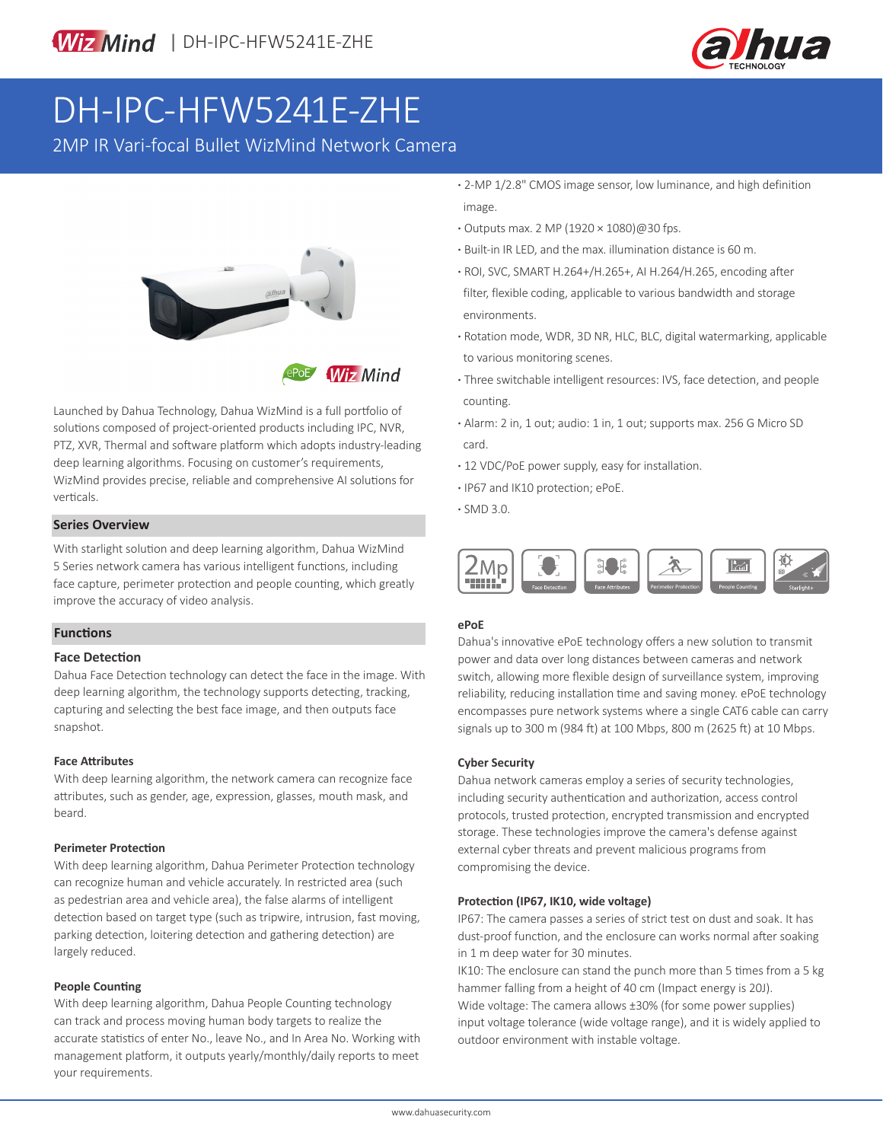

# DH-IPC-HFW5241E-ZHE

2MP IR Vari-focal Bullet WizMind Network Camera



**Wiz Mind** 

Launched by Dahua Technology, Dahua WizMind is a full portfolio of solutions composed of project-oriented products including IPC, NVR, PTZ, XVR, Thermal and software platform which adopts industry-leading deep learning algorithms. Focusing on customer's requirements, WizMind provides precise, reliable and comprehensive AI solutions for verticals.

### **Series Overview**

With starlight solution and deep learning algorithm, Dahua WizMind 5 Series network camera has various intelligent functions, including face capture, perimeter protection and people counting, which greatly improve the accuracy of video analysis.

### **Functions**

### **Face Detection**

Dahua Face Detection technology can detect the face in the image. With deep learning algorithm, the technology supports detecting, tracking, capturing and selecting the best face image, and then outputs face snapshot.

### **Face Attributes**

With deep learning algorithm, the network camera can recognize face attributes, such as gender, age, expression, glasses, mouth mask, and beard.

### **Perimeter Protection**

With deep learning algorithm, Dahua Perimeter Protection technology can recognize human and vehicle accurately. In restricted area (such as pedestrian area and vehicle area), the false alarms of intelligent detection based on target type (such as tripwire, intrusion, fast moving, parking detection, loitering detection and gathering detection) are largely reduced.

### **People Counting**

With deep learning algorithm, Dahua People Counting technology can track and process moving human body targets to realize the accurate statistics of enter No., leave No., and In Area No. Working with management platform, it outputs yearly/monthly/daily reports to meet your requirements.

- **·** 2-MP 1/2.8" CMOS image sensor, low luminance, and high definition image.
- **·** Outputs max. 2 MP (1920 × 1080)@30 fps.
- **·** Built-in IR LED, and the max. illumination distance is 60 m.
- **·** ROI, SVC, SMART H.264+/H.265+, AI H.264/H.265, encoding after filter, flexible coding, applicable to various bandwidth and storage environments.
- **·** Rotation mode, WDR, 3D NR, HLC, BLC, digital watermarking, applicable to various monitoring scenes.
- **·** Three switchable intelligent resources: IVS, face detection, and people counting.
- **·** Alarm: 2 in, 1 out; audio: 1 in, 1 out; supports max. 256 G Micro SD card.
- **·** 12 VDC/PoE power supply, easy for installation.
- **·** IP67 and IK10 protection; ePoE.
- **·** SMD 3.0.



### **ePoE**

Dahua's innovative ePoE technology offers a new solution to transmit power and data over long distances between cameras and network switch, allowing more flexible design of surveillance system, improving reliability, reducing installation time and saving money. ePoE technology encompasses pure network systems where a single CAT6 cable can carry signals up to 300 m (984 ft) at 100 Mbps, 800 m (2625 ft) at 10 Mbps.

### **Cyber Security**

Dahua network cameras employ a series of security technologies, including security authentication and authorization, access control protocols, trusted protection, encrypted transmission and encrypted storage. These technologies improve the camera's defense against external cyber threats and prevent malicious programs from compromising the device.

### **Protection (IP67, IK10, wide voltage)**

IP67: The camera passes a series of strict test on dust and soak. It has dust-proof function, and the enclosure can works normal after soaking in 1 m deep water for 30 minutes.

IK10: The enclosure can stand the punch more than 5 times from a 5 kg hammer falling from a height of 40 cm (Impact energy is 20J). Wide voltage: The camera allows ±30% (for some power supplies) input voltage tolerance (wide voltage range), and it is widely applied to outdoor environment with instable voltage.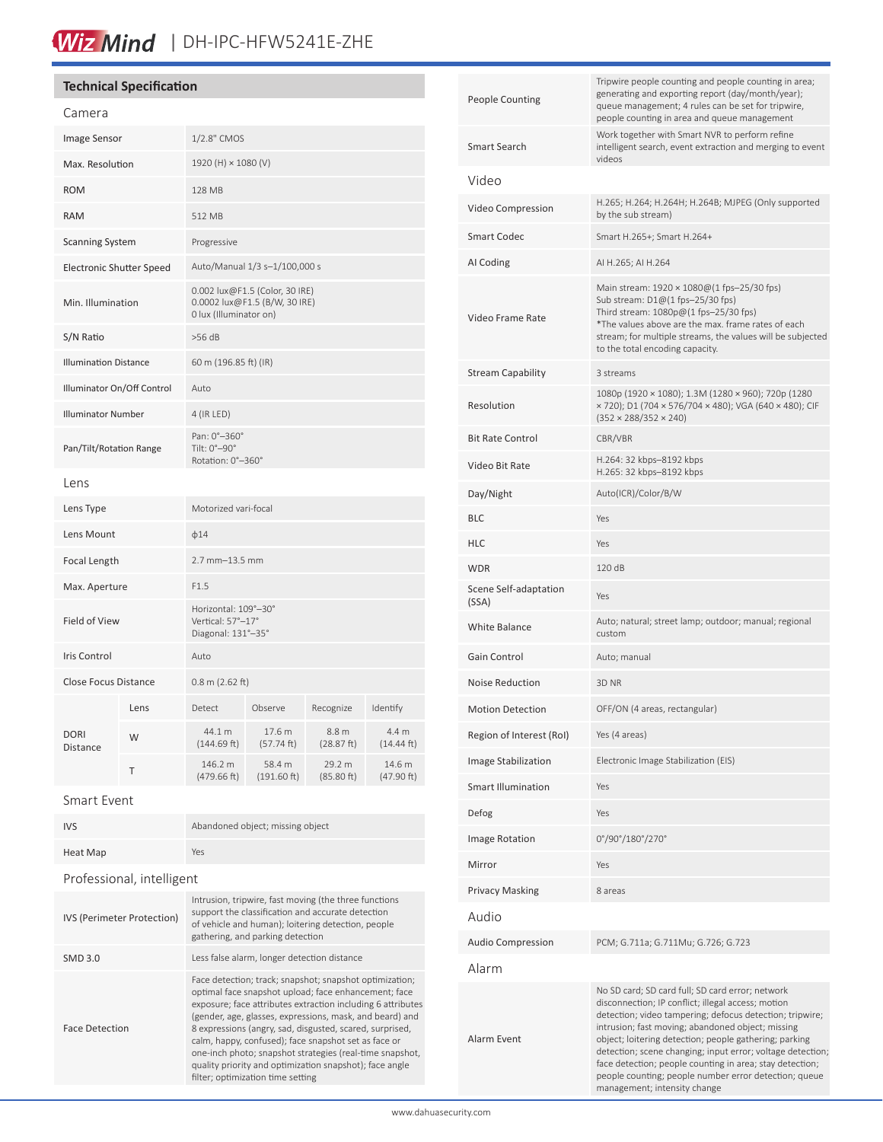# Wiz Mind | DH-IPC-HFW5241E-ZHE

### **Technical Specification**

| Camera                          |      |                                                                                           |                       |                      |                               |
|---------------------------------|------|-------------------------------------------------------------------------------------------|-----------------------|----------------------|-------------------------------|
| <b>Image Sensor</b>             |      | 1/2.8" CMOS                                                                               |                       |                      |                               |
| Max. Resolution                 |      | 1920 (H) × 1080 (V)                                                                       |                       |                      |                               |
| <b>ROM</b>                      |      | 128 MB                                                                                    |                       |                      |                               |
| <b>RAM</b>                      |      | 512 MB                                                                                    |                       |                      |                               |
| <b>Scanning System</b>          |      | Progressive                                                                               |                       |                      |                               |
| <b>Electronic Shutter Speed</b> |      | Auto/Manual 1/3 s-1/100,000 s                                                             |                       |                      |                               |
| Min. Illumination               |      | 0.002 lux@F1.5 (Color, 30 IRE)<br>0.0002 lux@F1.5 (B/W, 30 IRE)<br>0 lux (Illuminator on) |                       |                      |                               |
| S/N Ratio                       |      | $>56$ dB                                                                                  |                       |                      |                               |
| <b>Illumination Distance</b>    |      | 60 m (196.85 ft) (IR)                                                                     |                       |                      |                               |
| Illuminator On/Off Control      |      | Auto                                                                                      |                       |                      |                               |
| <b>Illuminator Number</b>       |      | 4 (IR LED)                                                                                |                       |                      |                               |
| Pan/Tilt/Rotation Range         |      | Pan: 0°-360°<br>Tilt: 0°-90°<br>Rotation: 0°-360°                                         |                       |                      |                               |
| Lens                            |      |                                                                                           |                       |                      |                               |
| Lens Type                       |      | Motorized vari-focal                                                                      |                       |                      |                               |
| Lens Mount                      |      | $\phi$ 14                                                                                 |                       |                      |                               |
| Focal Length                    |      | 2.7 mm-13.5 mm                                                                            |                       |                      |                               |
| Max. Aperture                   |      | F1.5                                                                                      |                       |                      |                               |
| <b>Field of View</b>            |      | Horizontal: 109°-30°<br>Vertical: 57°-17°<br>Diagonal: 131°-35°                           |                       |                      |                               |
| <b>Iris Control</b>             |      | Auto                                                                                      |                       |                      |                               |
| Close Focus Distance            |      | $0.8$ m (2.62 ft)                                                                         |                       |                      |                               |
| <b>DORI</b><br>Distance         | Lens | Detect                                                                                    | Observe               | Recognize            | Identify                      |
|                                 | W    | 44.1 m<br>(144.69 ft)                                                                     | 17.6 m<br>(57.74 ft)  | 8.8 m<br>(28.87 ft)  | 4.4 m<br>$(14.44 \text{ ft})$ |
|                                 | Τ    | 146.2 m<br>(479.66 ft)                                                                    | 58.4 m<br>(191.60 ft) | 29.2 m<br>(85.80 ft) | 14.6 m<br>(47.90 ft)          |
|                                 |      |                                                                                           |                       |                      |                               |

### Smart Event

| <b>IVS</b>                 | Abandoned object; missing object                                                                                                                                                                                                                                                                                                                                                                                                                                                                                           |  |  |  |
|----------------------------|----------------------------------------------------------------------------------------------------------------------------------------------------------------------------------------------------------------------------------------------------------------------------------------------------------------------------------------------------------------------------------------------------------------------------------------------------------------------------------------------------------------------------|--|--|--|
| <b>Heat Map</b>            | Yes                                                                                                                                                                                                                                                                                                                                                                                                                                                                                                                        |  |  |  |
| Professional, intelligent  |                                                                                                                                                                                                                                                                                                                                                                                                                                                                                                                            |  |  |  |
| IVS (Perimeter Protection) | Intrusion, tripwire, fast moving (the three functions<br>support the classification and accurate detection<br>of vehicle and human); loitering detection, people<br>gathering, and parking detection                                                                                                                                                                                                                                                                                                                       |  |  |  |
| <b>SMD 3.0</b>             | Less false alarm, longer detection distance                                                                                                                                                                                                                                                                                                                                                                                                                                                                                |  |  |  |
| <b>Face Detection</b>      | Face detection; track; snapshot; snapshot optimization;<br>optimal face snapshot upload; face enhancement; face<br>exposure; face attributes extraction including 6 attributes<br>(gender, age, glasses, expressions, mask, and beard) and<br>8 expressions (angry, sad, disgusted, scared, surprised,<br>calm, happy, confused); face snapshot set as face or<br>one-inch photo; snapshot strategies (real-time snapshot,<br>quality priority and optimization snapshot); face angle<br>filter; optimization time setting |  |  |  |
|                            |                                                                                                                                                                                                                                                                                                                                                                                                                                                                                                                            |  |  |  |

| <b>People Counting</b>         | Tripwire people counting and people counting in area;<br>generating and exporting report (day/month/year);<br>queue management; 4 rules can be set for tripwire,<br>people counting in area and queue management                                                                                                                                                                                                                                                                                     |  |  |
|--------------------------------|------------------------------------------------------------------------------------------------------------------------------------------------------------------------------------------------------------------------------------------------------------------------------------------------------------------------------------------------------------------------------------------------------------------------------------------------------------------------------------------------------|--|--|
| <b>Smart Search</b>            | Work together with Smart NVR to perform refine<br>intelligent search, event extraction and merging to event<br>videos                                                                                                                                                                                                                                                                                                                                                                                |  |  |
| Video                          |                                                                                                                                                                                                                                                                                                                                                                                                                                                                                                      |  |  |
| Video Compression              | H.265; H.264; H.264H; H.264B; MJPEG (Only supported<br>by the sub stream)                                                                                                                                                                                                                                                                                                                                                                                                                            |  |  |
| <b>Smart Codec</b>             | Smart H.265+; Smart H.264+                                                                                                                                                                                                                                                                                                                                                                                                                                                                           |  |  |
| AI Coding                      | AI H.265; AI H.264                                                                                                                                                                                                                                                                                                                                                                                                                                                                                   |  |  |
| Video Frame Rate               | Main stream: 1920 × 1080@(1 fps-25/30 fps)<br>Sub stream: D1@(1 fps-25/30 fps)<br>Third stream: 1080p@(1 fps-25/30 fps)<br>*The values above are the max. frame rates of each<br>stream; for multiple streams, the values will be subjected<br>to the total encoding capacity.                                                                                                                                                                                                                       |  |  |
| <b>Stream Capability</b>       | 3 streams                                                                                                                                                                                                                                                                                                                                                                                                                                                                                            |  |  |
| Resolution                     | 1080p (1920 × 1080); 1.3M (1280 × 960); 720p (1280<br>× 720); D1 (704 × 576/704 × 480); VGA (640 × 480); CIF<br>$(352 \times 288/352 \times 240)$                                                                                                                                                                                                                                                                                                                                                    |  |  |
| <b>Bit Rate Control</b>        | CBR/VBR                                                                                                                                                                                                                                                                                                                                                                                                                                                                                              |  |  |
| Video Bit Rate                 | H.264: 32 kbps-8192 kbps<br>H.265: 32 kbps-8192 kbps                                                                                                                                                                                                                                                                                                                                                                                                                                                 |  |  |
| Day/Night                      | Auto(ICR)/Color/B/W                                                                                                                                                                                                                                                                                                                                                                                                                                                                                  |  |  |
| BLC                            | Yes                                                                                                                                                                                                                                                                                                                                                                                                                                                                                                  |  |  |
| HLC                            | Yes                                                                                                                                                                                                                                                                                                                                                                                                                                                                                                  |  |  |
| <b>WDR</b>                     | 120 dB                                                                                                                                                                                                                                                                                                                                                                                                                                                                                               |  |  |
| Scene Self-adaptation<br>(SSA) | Yes                                                                                                                                                                                                                                                                                                                                                                                                                                                                                                  |  |  |
| White Balance                  | Auto; natural; street lamp; outdoor; manual; regional<br>custom                                                                                                                                                                                                                                                                                                                                                                                                                                      |  |  |
| Gain Control                   | Auto; manual                                                                                                                                                                                                                                                                                                                                                                                                                                                                                         |  |  |
| Noise Reduction                | 3D NR                                                                                                                                                                                                                                                                                                                                                                                                                                                                                                |  |  |
| <b>Motion Detection</b>        | OFF/ON (4 areas, rectangular)                                                                                                                                                                                                                                                                                                                                                                                                                                                                        |  |  |
| Region of Interest (RoI)       | Yes (4 areas)                                                                                                                                                                                                                                                                                                                                                                                                                                                                                        |  |  |
| <b>Image Stabilization</b>     | Electronic Image Stabilization (EIS)                                                                                                                                                                                                                                                                                                                                                                                                                                                                 |  |  |
| <b>Smart Illumination</b>      | Yes                                                                                                                                                                                                                                                                                                                                                                                                                                                                                                  |  |  |
| Defog                          | Yes                                                                                                                                                                                                                                                                                                                                                                                                                                                                                                  |  |  |
| <b>Image Rotation</b>          | 0°/90°/180°/270°                                                                                                                                                                                                                                                                                                                                                                                                                                                                                     |  |  |
| Mirror                         | Yes                                                                                                                                                                                                                                                                                                                                                                                                                                                                                                  |  |  |
| <b>Privacy Masking</b>         | 8 areas                                                                                                                                                                                                                                                                                                                                                                                                                                                                                              |  |  |
| Audio                          |                                                                                                                                                                                                                                                                                                                                                                                                                                                                                                      |  |  |
| <b>Audio Compression</b>       | PCM; G.711a; G.711Mu; G.726; G.723                                                                                                                                                                                                                                                                                                                                                                                                                                                                   |  |  |
| Alarm                          |                                                                                                                                                                                                                                                                                                                                                                                                                                                                                                      |  |  |
| Alarm Event                    | No SD card; SD card full; SD card error; network<br>disconnection; IP conflict; illegal access; motion<br>detection; video tampering; defocus detection; tripwire;<br>intrusion; fast moving; abandoned object; missing<br>object; loitering detection; people gathering; parking<br>detection; scene changing; input error; voltage detection;<br>face detection; people counting in area; stay detection;<br>people counting; people number error detection; queue<br>management; intensity change |  |  |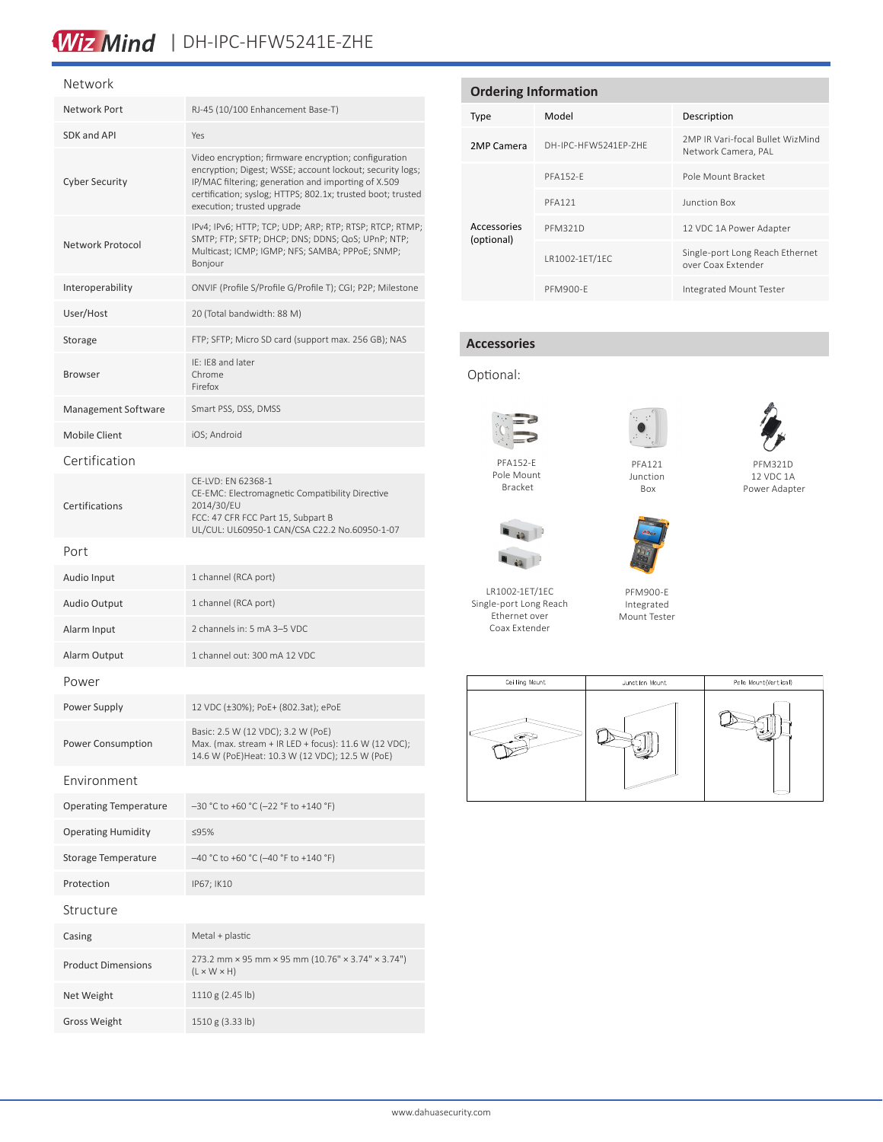# Wiz Mind | DH-IPC-HFW5241E-ZHE

#### Network

| Network Port                 | RJ-45 (10/100 Enhancement Base-T)                                                                                                                                                                                                                                     |  |  |
|------------------------------|-----------------------------------------------------------------------------------------------------------------------------------------------------------------------------------------------------------------------------------------------------------------------|--|--|
| SDK and API                  | Yes                                                                                                                                                                                                                                                                   |  |  |
| <b>Cyber Security</b>        | Video encryption; firmware encryption; configuration<br>encryption; Digest; WSSE; account lockout; security logs;<br>IP/MAC filtering; generation and importing of X.509<br>certification; syslog; HTTPS; 802.1x; trusted boot; trusted<br>execution; trusted upgrade |  |  |
| Network Protocol             | IPv4; IPv6; HTTP; TCP; UDP; ARP; RTP; RTSP; RTCP; RTMP;<br>SMTP; FTP; SFTP; DHCP; DNS; DDNS; QoS; UPnP; NTP;<br>Multicast; ICMP; IGMP; NFS; SAMBA; PPPoE; SNMP;<br>Bonjour                                                                                            |  |  |
| Interoperability             | ONVIF (Profile S/Profile G/Profile T); CGI; P2P; Milestone                                                                                                                                                                                                            |  |  |
| User/Host                    | 20 (Total bandwidth: 88 M)                                                                                                                                                                                                                                            |  |  |
| Storage                      | FTP; SFTP; Micro SD card (support max. 256 GB); NAS                                                                                                                                                                                                                   |  |  |
| <b>Browser</b>               | IE: IE8 and later<br>Chrome<br>Firefox                                                                                                                                                                                                                                |  |  |
| Management Software          | Smart PSS, DSS, DMSS                                                                                                                                                                                                                                                  |  |  |
| Mobile Client                | iOS; Android                                                                                                                                                                                                                                                          |  |  |
| Certification                |                                                                                                                                                                                                                                                                       |  |  |
| Certifications               | CE-LVD: EN 62368-1<br>CE-EMC: Electromagnetic Compatibility Directive<br>2014/30/EU<br>FCC: 47 CFR FCC Part 15, Subpart B<br>UL/CUL: UL60950-1 CAN/CSA C22.2 No.60950-1-07                                                                                            |  |  |
| Port                         |                                                                                                                                                                                                                                                                       |  |  |
| Audio Input                  | 1 channel (RCA port)                                                                                                                                                                                                                                                  |  |  |
| <b>Audio Output</b>          | 1 channel (RCA port)                                                                                                                                                                                                                                                  |  |  |
| Alarm Input                  | 2 channels in: 5 mA 3-5 VDC                                                                                                                                                                                                                                           |  |  |
| Alarm Output                 | 1 channel out: 300 mA 12 VDC                                                                                                                                                                                                                                          |  |  |
| Power                        |                                                                                                                                                                                                                                                                       |  |  |
| Power Supply                 | 12 VDC (±30%); PoE+ (802.3at); ePoE                                                                                                                                                                                                                                   |  |  |
| Power Consumption            | Basic: 2.5 W (12 VDC); 3.2 W (PoE)<br>Max. (max. stream + IR LED + focus): 11.6 W (12 VDC);<br>14.6 W (PoE)Heat: 10.3 W (12 VDC); 12.5 W (PoE)                                                                                                                        |  |  |
| Environment                  |                                                                                                                                                                                                                                                                       |  |  |
| <b>Operating Temperature</b> | $-30$ °C to +60 °C (-22 °F to +140 °F)                                                                                                                                                                                                                                |  |  |
| <b>Operating Humidity</b>    | ≤95%                                                                                                                                                                                                                                                                  |  |  |
| Storage Temperature          | -40 °C to +60 °C (-40 °F to +140 °F)                                                                                                                                                                                                                                  |  |  |
| Protection                   | IP67; IK10                                                                                                                                                                                                                                                            |  |  |
| Structure                    |                                                                                                                                                                                                                                                                       |  |  |
| Casing                       | Metal + plastic                                                                                                                                                                                                                                                       |  |  |
| <b>Product Dimensions</b>    | 273.2 mm × 95 mm × 95 mm (10.76" × 3.74" × 3.74")<br>$(L \times W \times H)$                                                                                                                                                                                          |  |  |
| Net Weight                   | 1110 g (2.45 lb)                                                                                                                                                                                                                                                      |  |  |
| <b>Gross Weight</b>          | 1510 g (3.33 lb)                                                                                                                                                                                                                                                      |  |  |

| <b>Ordering Information</b> |                      |                                                         |  |  |  |
|-----------------------------|----------------------|---------------------------------------------------------|--|--|--|
| Type                        | Model                | Description                                             |  |  |  |
| 2MP Camera                  | DH-IPC-HEW5241FP-7HF | 2MP IR Vari-focal Bullet WizMind<br>Network Camera, PAL |  |  |  |
|                             | <b>PFA152-F</b>      | Pole Mount Bracket                                      |  |  |  |
|                             | <b>PFA121</b>        | Junction Box                                            |  |  |  |
| Accessories<br>(optional)   | <b>PFM321D</b>       | 12 VDC 1A Power Adapter                                 |  |  |  |
|                             | LR1002-1ET/1EC       | Single-port Long Reach Ethernet<br>over Coax Extender   |  |  |  |
|                             | <b>PFM900-F</b>      | Integrated Mount Tester                                 |  |  |  |

### **Accessories**

### Optional:



Pole Mount Bracket



PFA121 Junction Box



#### PFM321D 12 VDC 1A Power Adapter



LR1002-1ET/1EC Single-port Long Reach Ethernet over Coax Extender

PFM900-E Integrated Mount Tester